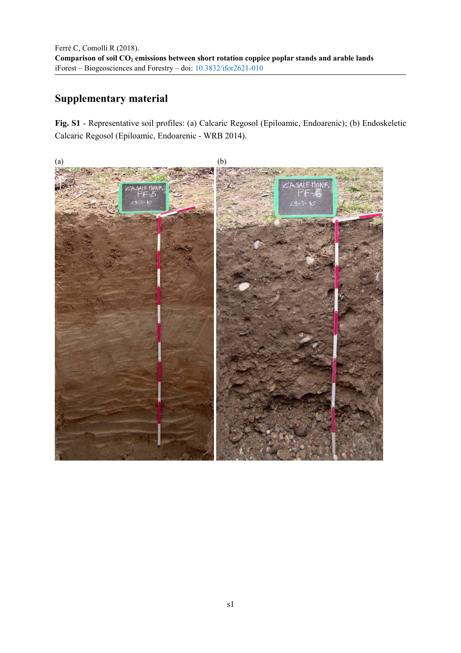## **Supplementary material**

**Fig. S1** - Representative soil profiles: (a) Calcaric Regosol (Epiloamic, Endoarenic); (b) Endoskeletic Calcaric Regosol (Epiloamic, Endoarenic - WRB 2014).